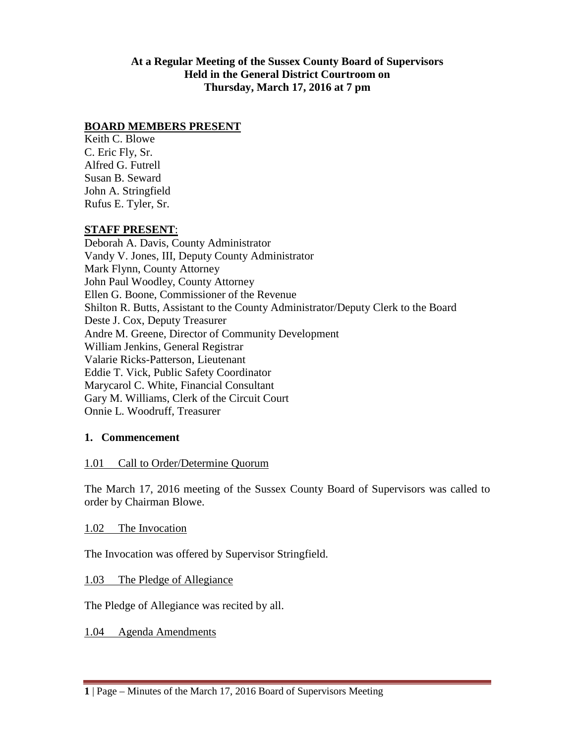**At a Regular Meeting of the Sussex County Board of Supervisors Held in the General District Courtroom on Thursday, March 17, 2016 at 7 pm**

### **BOARD MEMBERS PRESENT**

Keith C. Blowe C. Eric Fly, Sr. Alfred G. Futrell Susan B. Seward John A. Stringfield Rufus E. Tyler, Sr.

### **STAFF PRESENT**:

Deborah A. Davis, County Administrator Vandy V. Jones, III, Deputy County Administrator Mark Flynn, County Attorney John Paul Woodley, County Attorney Ellen G. Boone, Commissioner of the Revenue Shilton R. Butts, Assistant to the County Administrator/Deputy Clerk to the Board Deste J. Cox, Deputy Treasurer Andre M. Greene, Director of Community Development William Jenkins, General Registrar Valarie Ricks-Patterson, Lieutenant Eddie T. Vick, Public Safety Coordinator Marycarol C. White, Financial Consultant Gary M. Williams, Clerk of the Circuit Court Onnie L. Woodruff, Treasurer

## **1. Commencement**

#### 1.01 Call to Order/Determine Quorum

The March 17, 2016 meeting of the Sussex County Board of Supervisors was called to order by Chairman Blowe.

#### 1.02 The Invocation

The Invocation was offered by Supervisor Stringfield.

#### 1.03 The Pledge of Allegiance

The Pledge of Allegiance was recited by all.

1.04 Agenda Amendments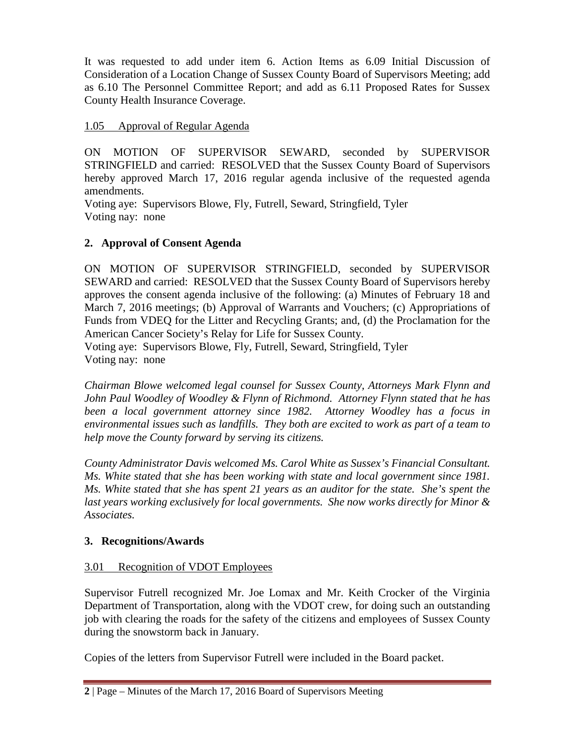It was requested to add under item 6. Action Items as 6.09 Initial Discussion of Consideration of a Location Change of Sussex County Board of Supervisors Meeting; add as 6.10 The Personnel Committee Report; and add as 6.11 Proposed Rates for Sussex County Health Insurance Coverage.

# 1.05 Approval of Regular Agenda

ON MOTION OF SUPERVISOR SEWARD, seconded by SUPERVISOR STRINGFIELD and carried: RESOLVED that the Sussex County Board of Supervisors hereby approved March 17, 2016 regular agenda inclusive of the requested agenda amendments.

Voting aye: Supervisors Blowe, Fly, Futrell, Seward, Stringfield, Tyler Voting nay: none

# **2. Approval of Consent Agenda**

ON MOTION OF SUPERVISOR STRINGFIELD, seconded by SUPERVISOR SEWARD and carried: RESOLVED that the Sussex County Board of Supervisors hereby approves the consent agenda inclusive of the following: (a) Minutes of February 18 and March 7, 2016 meetings; (b) Approval of Warrants and Vouchers; (c) Appropriations of Funds from VDEQ for the Litter and Recycling Grants; and, (d) the Proclamation for the American Cancer Society's Relay for Life for Sussex County. Voting aye: Supervisors Blowe, Fly, Futrell, Seward, Stringfield, Tyler Voting nay: none

*Chairman Blowe welcomed legal counsel for Sussex County, Attorneys Mark Flynn and John Paul Woodley of Woodley & Flynn of Richmond. Attorney Flynn stated that he has been a local government attorney since 1982. Attorney Woodley has a focus in environmental issues such as landfills. They both are excited to work as part of a team to help move the County forward by serving its citizens.*

*County Administrator Davis welcomed Ms. Carol White as Sussex's Financial Consultant. Ms. White stated that she has been working with state and local government since 1981. Ms. White stated that she has spent 21 years as an auditor for the state. She's spent the last years working exclusively for local governments. She now works directly for Minor & Associates.*

## **3. Recognitions/Awards**

## 3.01 Recognition of VDOT Employees

Supervisor Futrell recognized Mr. Joe Lomax and Mr. Keith Crocker of the Virginia Department of Transportation, along with the VDOT crew, for doing such an outstanding job with clearing the roads for the safety of the citizens and employees of Sussex County during the snowstorm back in January.

Copies of the letters from Supervisor Futrell were included in the Board packet.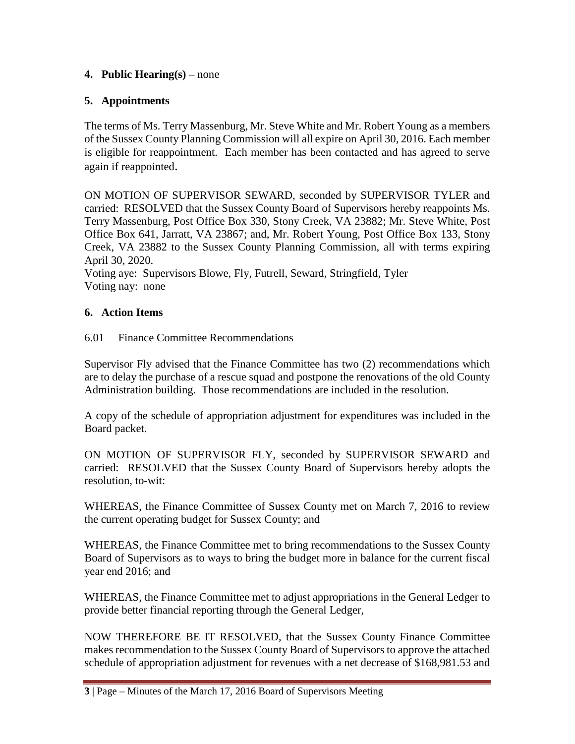## **4. Public Hearing(s)** – none

# **5. Appointments**

The terms of Ms. Terry Massenburg, Mr. Steve White and Mr. Robert Young as a members of the Sussex County Planning Commission will all expire on April 30, 2016. Each member is eligible for reappointment. Each member has been contacted and has agreed to serve again if reappointed.

ON MOTION OF SUPERVISOR SEWARD, seconded by SUPERVISOR TYLER and carried: RESOLVED that the Sussex County Board of Supervisors hereby reappoints Ms. Terry Massenburg, Post Office Box 330, Stony Creek, VA 23882; Mr. Steve White, Post Office Box 641, Jarratt, VA 23867; and, Mr. Robert Young, Post Office Box 133, Stony Creek, VA 23882 to the Sussex County Planning Commission, all with terms expiring April 30, 2020.

Voting aye: Supervisors Blowe, Fly, Futrell, Seward, Stringfield, Tyler Voting nay: none

# **6. Action Items**

# 6.01 Finance Committee Recommendations

Supervisor Fly advised that the Finance Committee has two (2) recommendations which are to delay the purchase of a rescue squad and postpone the renovations of the old County Administration building. Those recommendations are included in the resolution.

A copy of the schedule of appropriation adjustment for expenditures was included in the Board packet.

ON MOTION OF SUPERVISOR FLY, seconded by SUPERVISOR SEWARD and carried: RESOLVED that the Sussex County Board of Supervisors hereby adopts the resolution, to-wit:

WHEREAS, the Finance Committee of Sussex County met on March 7, 2016 to review the current operating budget for Sussex County; and

WHEREAS, the Finance Committee met to bring recommendations to the Sussex County Board of Supervisors as to ways to bring the budget more in balance for the current fiscal year end 2016; and

WHEREAS, the Finance Committee met to adjust appropriations in the General Ledger to provide better financial reporting through the General Ledger,

NOW THEREFORE BE IT RESOLVED, that the Sussex County Finance Committee makes recommendation to the Sussex County Board of Supervisors to approve the attached schedule of appropriation adjustment for revenues with a net decrease of \$168,981.53 and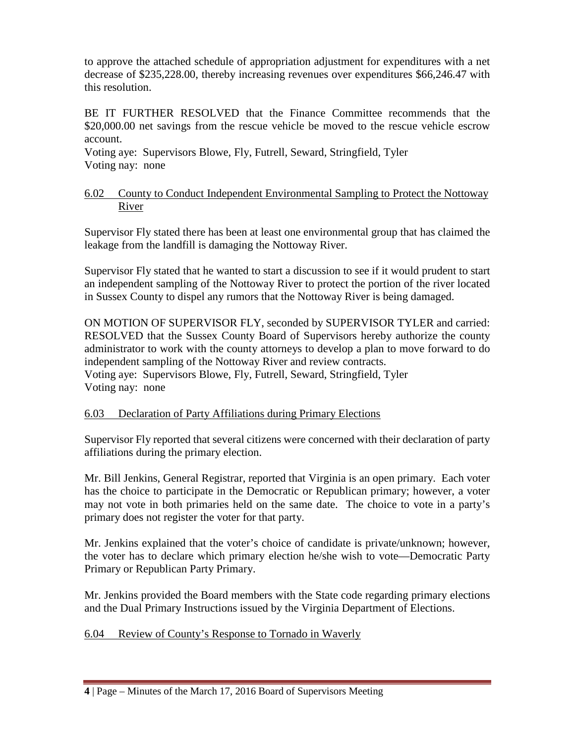to approve the attached schedule of appropriation adjustment for expenditures with a net decrease of \$235,228.00, thereby increasing revenues over expenditures \$66,246.47 with this resolution.

BE IT FURTHER RESOLVED that the Finance Committee recommends that the \$20,000.00 net savings from the rescue vehicle be moved to the rescue vehicle escrow account.

Voting aye: Supervisors Blowe, Fly, Futrell, Seward, Stringfield, Tyler Voting nay: none

### 6.02 County to Conduct Independent Environmental Sampling to Protect the Nottoway River

Supervisor Fly stated there has been at least one environmental group that has claimed the leakage from the landfill is damaging the Nottoway River.

Supervisor Fly stated that he wanted to start a discussion to see if it would prudent to start an independent sampling of the Nottoway River to protect the portion of the river located in Sussex County to dispel any rumors that the Nottoway River is being damaged.

ON MOTION OF SUPERVISOR FLY, seconded by SUPERVISOR TYLER and carried: RESOLVED that the Sussex County Board of Supervisors hereby authorize the county administrator to work with the county attorneys to develop a plan to move forward to do independent sampling of the Nottoway River and review contracts. Voting aye: Supervisors Blowe, Fly, Futrell, Seward, Stringfield, Tyler Voting nay: none

## 6.03 Declaration of Party Affiliations during Primary Elections

Supervisor Fly reported that several citizens were concerned with their declaration of party affiliations during the primary election.

Mr. Bill Jenkins, General Registrar, reported that Virginia is an open primary. Each voter has the choice to participate in the Democratic or Republican primary; however, a voter may not vote in both primaries held on the same date. The choice to vote in a party's primary does not register the voter for that party.

Mr. Jenkins explained that the voter's choice of candidate is private/unknown; however, the voter has to declare which primary election he/she wish to vote—Democratic Party Primary or Republican Party Primary.

Mr. Jenkins provided the Board members with the State code regarding primary elections and the Dual Primary Instructions issued by the Virginia Department of Elections.

6.04 Review of County's Response to Tornado in Waverly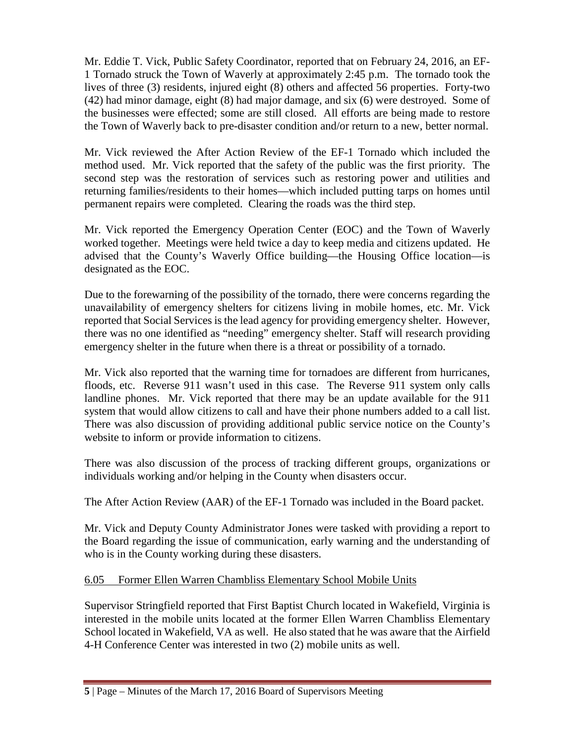Mr. Eddie T. Vick, Public Safety Coordinator, reported that on February 24, 2016, an EF-1 Tornado struck the Town of Waverly at approximately 2:45 p.m. The tornado took the lives of three (3) residents, injured eight (8) others and affected 56 properties. Forty-two (42) had minor damage, eight (8) had major damage, and six (6) were destroyed. Some of the businesses were effected; some are still closed. All efforts are being made to restore the Town of Waverly back to pre-disaster condition and/or return to a new, better normal.

Mr. Vick reviewed the After Action Review of the EF-1 Tornado which included the method used. Mr. Vick reported that the safety of the public was the first priority. The second step was the restoration of services such as restoring power and utilities and returning families/residents to their homes—which included putting tarps on homes until permanent repairs were completed. Clearing the roads was the third step.

Mr. Vick reported the Emergency Operation Center (EOC) and the Town of Waverly worked together. Meetings were held twice a day to keep media and citizens updated. He advised that the County's Waverly Office building—the Housing Office location—is designated as the EOC.

Due to the forewarning of the possibility of the tornado, there were concerns regarding the unavailability of emergency shelters for citizens living in mobile homes, etc. Mr. Vick reported that Social Services is the lead agency for providing emergency shelter. However, there was no one identified as "needing" emergency shelter. Staff will research providing emergency shelter in the future when there is a threat or possibility of a tornado.

Mr. Vick also reported that the warning time for tornadoes are different from hurricanes, floods, etc. Reverse 911 wasn't used in this case. The Reverse 911 system only calls landline phones. Mr. Vick reported that there may be an update available for the 911 system that would allow citizens to call and have their phone numbers added to a call list. There was also discussion of providing additional public service notice on the County's website to inform or provide information to citizens.

There was also discussion of the process of tracking different groups, organizations or individuals working and/or helping in the County when disasters occur.

The After Action Review (AAR) of the EF-1 Tornado was included in the Board packet.

Mr. Vick and Deputy County Administrator Jones were tasked with providing a report to the Board regarding the issue of communication, early warning and the understanding of who is in the County working during these disasters.

# 6.05 Former Ellen Warren Chambliss Elementary School Mobile Units

Supervisor Stringfield reported that First Baptist Church located in Wakefield, Virginia is interested in the mobile units located at the former Ellen Warren Chambliss Elementary School located in Wakefield, VA as well. He also stated that he was aware that the Airfield 4-H Conference Center was interested in two (2) mobile units as well.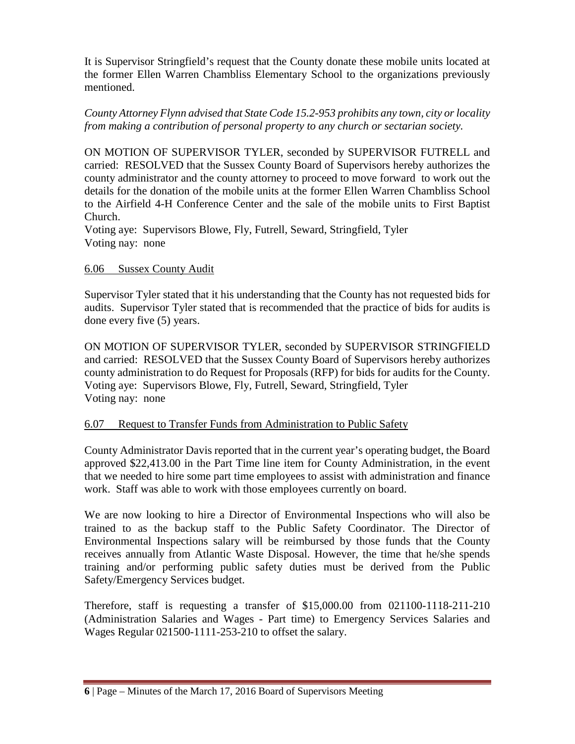It is Supervisor Stringfield's request that the County donate these mobile units located at the former Ellen Warren Chambliss Elementary School to the organizations previously mentioned.

### *County Attorney Flynn advised that State Code 15.2-953 prohibits any town, city or locality from making a contribution of personal property to any church or sectarian society.*

ON MOTION OF SUPERVISOR TYLER, seconded by SUPERVISOR FUTRELL and carried: RESOLVED that the Sussex County Board of Supervisors hereby authorizes the county administrator and the county attorney to proceed to move forward to work out the details for the donation of the mobile units at the former Ellen Warren Chambliss School to the Airfield 4-H Conference Center and the sale of the mobile units to First Baptist Church.

Voting aye: Supervisors Blowe, Fly, Futrell, Seward, Stringfield, Tyler Voting nay: none

### 6.06 Sussex County Audit

Supervisor Tyler stated that it his understanding that the County has not requested bids for audits. Supervisor Tyler stated that is recommended that the practice of bids for audits is done every five (5) years.

ON MOTION OF SUPERVISOR TYLER, seconded by SUPERVISOR STRINGFIELD and carried: RESOLVED that the Sussex County Board of Supervisors hereby authorizes county administration to do Request for Proposals (RFP) for bids for audits for the County. Voting aye: Supervisors Blowe, Fly, Futrell, Seward, Stringfield, Tyler Voting nay: none

## 6.07 Request to Transfer Funds from Administration to Public Safety

County Administrator Davis reported that in the current year's operating budget, the Board approved \$22,413.00 in the Part Time line item for County Administration, in the event that we needed to hire some part time employees to assist with administration and finance work. Staff was able to work with those employees currently on board.

We are now looking to hire a Director of Environmental Inspections who will also be trained to as the backup staff to the Public Safety Coordinator. The Director of Environmental Inspections salary will be reimbursed by those funds that the County receives annually from Atlantic Waste Disposal. However, the time that he/she spends training and/or performing public safety duties must be derived from the Public Safety/Emergency Services budget.

Therefore, staff is requesting a transfer of \$15,000.00 from 021100-1118-211-210 (Administration Salaries and Wages - Part time) to Emergency Services Salaries and Wages Regular 021500-1111-253-210 to offset the salary.

**<sup>6</sup>** | Page – Minutes of the March 17, 2016 Board of Supervisors Meeting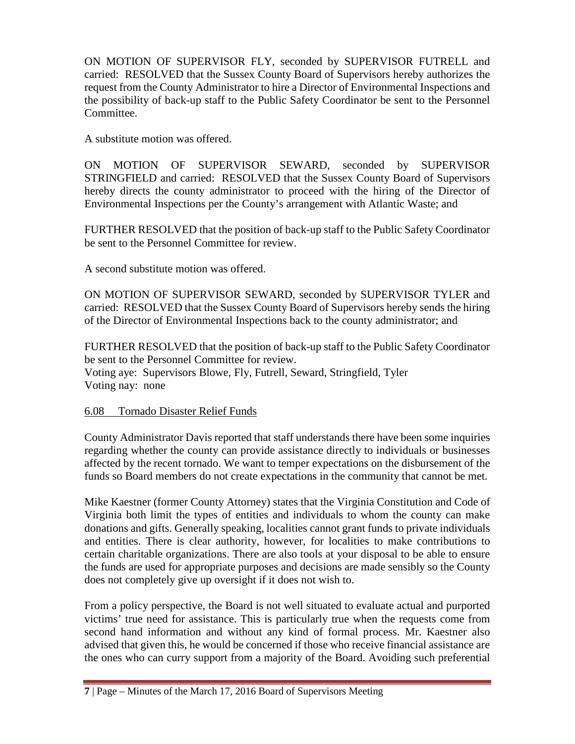ON MOTION OF SUPERVISOR FLY, seconded by SUPERVISOR FUTRELL and carried: RESOLVED that the Sussex County Board of Supervisors hereby authorizes the request from the County Administrator to hire a Director of Environmental Inspections and the possibility of back-up staff to the Public Safety Coordinator be sent to the Personnel Committee.

A substitute motion was offered.

ON MOTION OF SUPERVISOR SEWARD, seconded by SUPERVISOR STRINGFIELD and carried: RESOLVED that the Sussex County Board of Supervisors hereby directs the county administrator to proceed with the hiring of the Director of Environmental Inspections per the County's arrangement with Atlantic Waste; and

FURTHER RESOLVED that the position of back-up staff to the Public Safety Coordinator be sent to the Personnel Committee for review.

A second substitute motion was offered.

ON MOTION OF SUPERVISOR SEWARD, seconded by SUPERVISOR TYLER and carried: RESOLVED that the Sussex County Board of Supervisors hereby sends the hiring of the Director of Environmental Inspections back to the county administrator; and

FURTHER RESOLVED that the position of back-up staff to the Public Safety Coordinator be sent to the Personnel Committee for review.

Voting aye: Supervisors Blowe, Fly, Futrell, Seward, Stringfield, Tyler Voting nay: none

## 6.08 Tornado Disaster Relief Funds

County Administrator Davis reported that staff understands there have been some inquiries regarding whether the county can provide assistance directly to individuals or businesses affected by the recent tornado. We want to temper expectations on the disbursement of the funds so Board members do not create expectations in the community that cannot be met.

Mike Kaestner (former County Attorney) states that the Virginia Constitution and Code of Virginia both limit the types of entities and individuals to whom the county can make donations and gifts. Generally speaking, localities cannot grant funds to private individuals and entities. There is clear authority, however, for localities to make contributions to certain charitable organizations. There are also tools at your disposal to be able to ensure the funds are used for appropriate purposes and decisions are made sensibly so the County does not completely give up oversight if it does not wish to.

From a policy perspective, the Board is not well situated to evaluate actual and purported victims' true need for assistance. This is particularly true when the requests come from second hand information and without any kind of formal process. Mr. Kaestner also advised that given this, he would be concerned if those who receive financial assistance are the ones who can curry support from a majority of the Board. Avoiding such preferential

**<sup>7</sup>** | Page – Minutes of the March 17, 2016 Board of Supervisors Meeting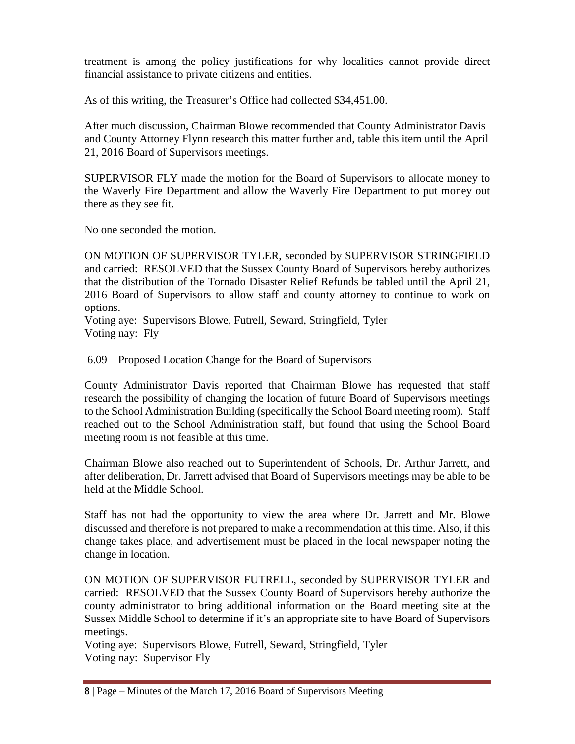treatment is among the policy justifications for why localities cannot provide direct financial assistance to private citizens and entities.

As of this writing, the Treasurer's Office had collected \$34,451.00.

After much discussion, Chairman Blowe recommended that County Administrator Davis and County Attorney Flynn research this matter further and, table this item until the April 21, 2016 Board of Supervisors meetings.

SUPERVISOR FLY made the motion for the Board of Supervisors to allocate money to the Waverly Fire Department and allow the Waverly Fire Department to put money out there as they see fit.

No one seconded the motion.

ON MOTION OF SUPERVISOR TYLER, seconded by SUPERVISOR STRINGFIELD and carried: RESOLVED that the Sussex County Board of Supervisors hereby authorizes that the distribution of the Tornado Disaster Relief Refunds be tabled until the April 21, 2016 Board of Supervisors to allow staff and county attorney to continue to work on options.

Voting aye: Supervisors Blowe, Futrell, Seward, Stringfield, Tyler Voting nay: Fly

## 6.09 Proposed Location Change for the Board of Supervisors

County Administrator Davis reported that Chairman Blowe has requested that staff research the possibility of changing the location of future Board of Supervisors meetings to the School Administration Building (specifically the School Board meeting room). Staff reached out to the School Administration staff, but found that using the School Board meeting room is not feasible at this time.

Chairman Blowe also reached out to Superintendent of Schools, Dr. Arthur Jarrett, and after deliberation, Dr. Jarrett advised that Board of Supervisors meetings may be able to be held at the Middle School.

Staff has not had the opportunity to view the area where Dr. Jarrett and Mr. Blowe discussed and therefore is not prepared to make a recommendation at this time. Also, if this change takes place, and advertisement must be placed in the local newspaper noting the change in location.

ON MOTION OF SUPERVISOR FUTRELL, seconded by SUPERVISOR TYLER and carried: RESOLVED that the Sussex County Board of Supervisors hereby authorize the county administrator to bring additional information on the Board meeting site at the Sussex Middle School to determine if it's an appropriate site to have Board of Supervisors meetings.

Voting aye: Supervisors Blowe, Futrell, Seward, Stringfield, Tyler Voting nay: Supervisor Fly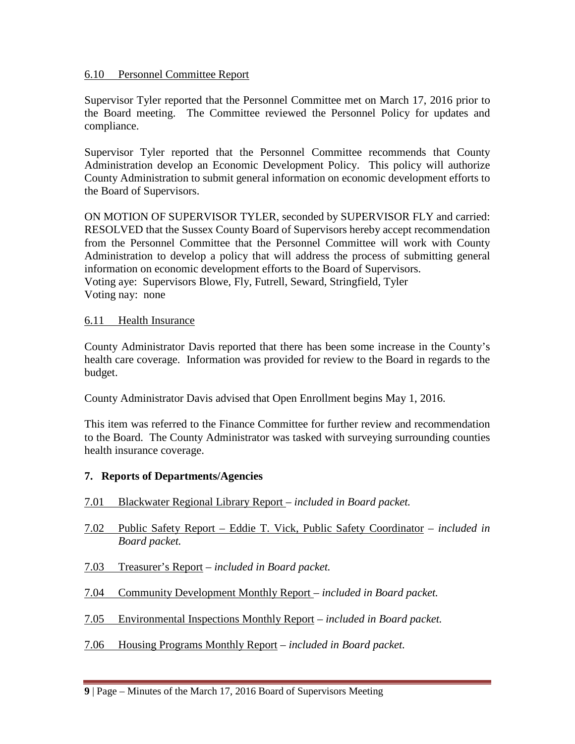### 6.10 Personnel Committee Report

Supervisor Tyler reported that the Personnel Committee met on March 17, 2016 prior to the Board meeting. The Committee reviewed the Personnel Policy for updates and compliance.

Supervisor Tyler reported that the Personnel Committee recommends that County Administration develop an Economic Development Policy. This policy will authorize County Administration to submit general information on economic development efforts to the Board of Supervisors.

ON MOTION OF SUPERVISOR TYLER, seconded by SUPERVISOR FLY and carried: RESOLVED that the Sussex County Board of Supervisors hereby accept recommendation from the Personnel Committee that the Personnel Committee will work with County Administration to develop a policy that will address the process of submitting general information on economic development efforts to the Board of Supervisors. Voting aye: Supervisors Blowe, Fly, Futrell, Seward, Stringfield, Tyler Voting nay: none

### 6.11 Health Insurance

County Administrator Davis reported that there has been some increase in the County's health care coverage. Information was provided for review to the Board in regards to the budget.

County Administrator Davis advised that Open Enrollment begins May 1, 2016.

This item was referred to the Finance Committee for further review and recommendation to the Board. The County Administrator was tasked with surveying surrounding counties health insurance coverage.

## **7. Reports of Departments/Agencies**

- 7.01 Blackwater Regional Library Report *included in Board packet.*
- 7.02 Public Safety Report Eddie T. Vick, Public Safety Coordinator *included in Board packet.*
- 7.03 Treasurer's Report *included in Board packet.*
- 7.04 Community Development Monthly Report *included in Board packet.*
- 7.05 Environmental Inspections Monthly Report *included in Board packet.*
- 7.06 Housing Programs Monthly Report *included in Board packet.*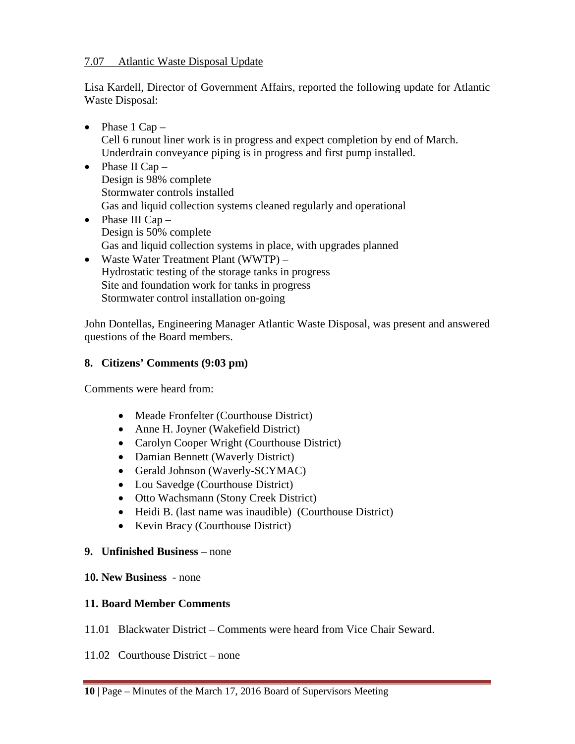### 7.07 Atlantic Waste Disposal Update

Lisa Kardell, Director of Government Affairs, reported the following update for Atlantic Waste Disposal:

- Phase  $1$  Cap  $-$ Cell 6 runout liner work is in progress and expect completion by end of March. Underdrain conveyance piping is in progress and first pump installed.
- Phase II Cap Design is 98% complete Stormwater controls installed Gas and liquid collection systems cleaned regularly and operational
- Phase III  $Cap -$ Design is 50% complete Gas and liquid collection systems in place, with upgrades planned
- Waste Water Treatment Plant (WWTP) Hydrostatic testing of the storage tanks in progress Site and foundation work for tanks in progress Stormwater control installation on-going

John Dontellas, Engineering Manager Atlantic Waste Disposal, was present and answered questions of the Board members.

# **8. Citizens' Comments (9:03 pm)**

Comments were heard from:

- Meade Fronfelter (Courthouse District)
- Anne H. Joyner (Wakefield District)
- Carolyn Cooper Wright (Courthouse District)
- Damian Bennett (Waverly District)
- Gerald Johnson (Waverly-SCYMAC)
- Lou Savedge (Courthouse District)
- Otto Wachsmann (Stony Creek District)
- Heidi B. (last name was inaudible) (Courthouse District)
- Kevin Bracy (Courthouse District)

## **9. Unfinished Business** – none

## **10. New Business** - none

## **11. Board Member Comments**

- 11.01 Blackwater District Comments were heard from Vice Chair Seward.
- 11.02 Courthouse District none